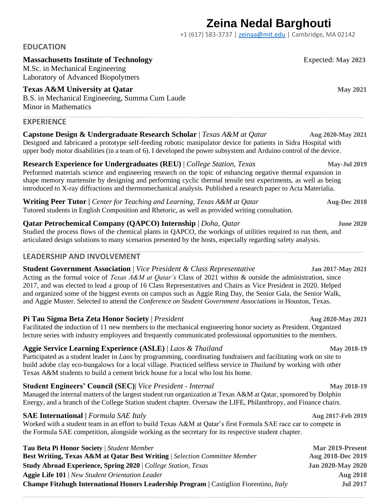# **Zeina Nedal Barghouti**

+1 (617) 583-3737 | [zeinaa@mit.edu](mailto:zeinaa@mit.edu) | Cambridge, MA 02142

# **EDUCATION**

# **Massachusetts Institute of Technology** Expected: **May 2023**

M.Sc. in Mechanical Engineering Laboratory of Advanced Biopolymers

**Texas A&M University at Oatar** *May 2021* B.S. in Mechanical Engineering, Summa Cum Laude Minor in Mathematics

#### **EXPERIENCE**

**Capstone Design & Undergraduate Research Scholar** | *Texas A&M at Qatar* **Aug 2020-May 2021** Designed and fabricated a prototype self-feeding robotic manipulator device for patients in Sidra Hospital with upper body motor disabilities (in a team of 6). I developed the power subsystem and Arduino control of the device.

**Research Experience for Undergraduates (REU)** | *College Station, Texas* May-Jul 2019 Performed materials science and engineering research on the topic of enhancing negative thermal expansion in shape memory martensite by designing and performing cyclic thermal tensile test experiments, as well as being introduced to X-ray diffractions and thermomechanical analysis. Published a research paper to Acta Materialia.

**Writing Peer Tutor** | *Center for Teaching and Learning, Texas A&M at Qatar* **Aug-Dec 2018** Tutored students in English Composition and Rhetoric, as well as provided writing consultation.

# **Qatar Petrochemical Company (QAPCO) Internship** | *Doha, Qatar* **June 2020** June 2020

Studied the process flows of the chemical plants in QAPCO, the workings of utilities required to run them, and articulated design solutions to many scenarios presented by the hosts, especially regarding safety analysis.

# **LEADERSHIP AND INVOLVEMENT**

#### **Student Government Association** | *Vice President & Class Representative* **Jan 2017-May 2021**

Acting as the formal voice of *Texas A&M at Qatar's* Class of 2021 within & outside the administration, since 2017, and was elected to lead a group of 16 Class Representatives and Chairs as Vice President in 2020. Helped and organized some of the biggest events on campus such as Aggie Ring Day, the Senior Gala, the Senior Walk, and Aggie Muster. Selected to attend the *Conference on Student Government Associations* in Houston, Texas.

#### **Pi Tau Sigma Beta Zeta Honor Society** | *President* **Aug 2020-May 2021**

Facilitated the induction of 11 new members to the mechanical engineering honor society as President. Organized lecture series with industry employees and frequently communicated professional opportunities to the members.

# **Aggie Service Learning Experience (ASLE)** | *Laos & Thailand* **May 2018-19 May 2018-19**

Participated as a student leader in *Laos* by programming, coordinating fundraisers and facilitating work on site to build adobe clay eco-bungalows for a local village. Practiced selfless service in *Thailand* by working with other Texas A&M students to build a cement brick house for a local who lost his home.

# **Student Engineers' Council (SEC)**| *Vice President - Internal May 2018-19*

Managed the internal matters of the largest student run organization at Texas A&M at Qatar, sponsored by Dolphin Energy, and a branch of the College Station student chapter. Oversaw the LIFE, Philanthropy, and Finance chairs.

#### **SAE International** | *Formula SAE Italy* **Aug 2017-Feb** 2019

Worked with a student team in an effort to build Texas A&M at Qatar's first Formula SAE race car to compete in the Formula SAE competition, alongside working as the secretary for its respective student chapter.

| <b>Tau Beta Pi Honor Society</b>   Student Member                                                    | Mar 2019-Present         |
|------------------------------------------------------------------------------------------------------|--------------------------|
| <b>Best Writing, Texas A&amp;M at Qatar Best Writing</b>   Selection Committee Member                | Aug 2018-Dec 2019        |
| <b>Study Abroad Experience, Spring 2020</b>   College Station, Texas                                 | <b>Jan 2020-May 2020</b> |
| <b>Aggie Life 101</b>   New Student Orientation Leader                                               | <b>Aug 2018</b>          |
| <b>Champe Fitzhugh International Honors Leadership Program</b>   Castiglion Fiorentino, <i>Italy</i> | <b>Jul 2017</b>          |